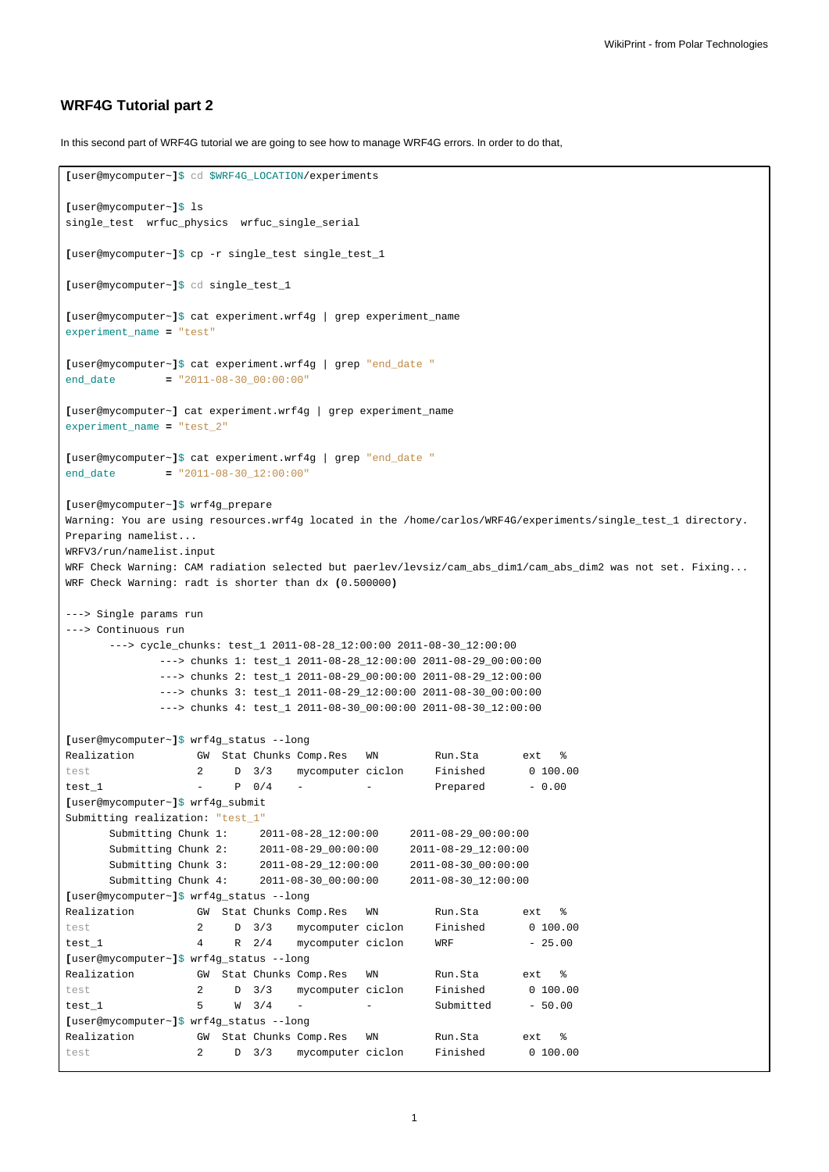## **WRF4G Tutorial part 2**

In this second part of WRF4G tutorial we are going to see how to manage WRF4G errors. In order to do that,

```
[user@mycomputer~]$ cd $WRF4G_LOCATION/experiments
[user@mycomputer~]$ ls
single_test wrfuc_physics wrfuc_single_serial
[user@mycomputer~]$ cp -r single_test single_test_1
[user@mycomputer~]$ cd single_test_1
[user@mycomputer~]$ cat experiment.wrf4g | grep experiment_name
experiment_name = "test"
[user@mycomputer~]$ cat experiment.wrf4g | grep "end_date "
end_date = "2011-08-30_00:00:00"
[user@mycomputer~] cat experiment.wrf4g | grep experiment_name
experiment_name = "test_2"
[user@mycomputer~]$ cat experiment.wrf4g | grep "end_date "
end_date = "2011-08-30_12:00:00"
[user@mycomputer~]$ wrf4g_prepare
Warning: You are using resources.wrf4g located in the /home/carlos/WRF4G/experiments/single_test_1 directory.
Preparing namelist...
WRFV3/run/namelist.input
WRF Check Warning: CAM radiation selected but paerlev/levsiz/cam_abs_dim1/cam_abs_dim2 was not set. Fixing...
WRF Check Warning: radt is shorter than dx (0.500000)
---> Single params run
---> Continuous run
      ---> cycle_chunks: test_1 2011-08-28_12:00:00 2011-08-30_12:00:00
            ---> chunks 1: test_1 2011-08-28_12:00:00 2011-08-29_00:00:00
             ---> chunks 2: test_1 2011-08-29_00:00:00 2011-08-29_12:00:00
             ---> chunks 3: test_1 2011-08-29_12:00:00 2011-08-30_00:00:00
             ---> chunks 4: test_1 2011-08-30_00:00:00 2011-08-30_12:00:00
[user@mycomputer~]$ wrf4g_status --long
Realization GW Stat Chunks Comp.Res WN Run.Sta ext %
test 2 D 3/3 mycomputer ciclon Finished 0 100.00
test_1 - P 0/4 - - Prepared - 0.00
[user@mycomputer~]$ wrf4g_submit
Submitting realization: "test_1"
      Submitting Chunk 1: 2011-08-28_12:00:00 2011-08-29_00:00:00
      Submitting Chunk 2: 2011-08-29_00:00:00 2011-08-29_12:00:00
     Submitting Chunk 3: 2011-08-29_12:00:00 2011-08-30_00:00:00
     Submitting Chunk 4: 2011-08-30_00:00:00 2011-08-30_12:00:00
[user@mycomputer~]$ wrf4g_status --long
Realization GW Stat Chunks Comp.Res WN Run.Sta ext %
test 2 D 3/3 mycomputer ciclon Finished 0 100.00<br>test 1 4 R 2/4 mycomputer ciclon WRF - 25.00
test\_1 4 R 2/4 mycomputer ciclon WRF - 25.00
[user@mycomputer~]$ wrf4g_status --long
Realization GW Stat Chunks Comp.Res WN Run.Sta ext %
test 2 D 3/3 mycomputer ciclon Finished 0 100.00
test_1 5 W 3/4 - - - Submitted - 50.00
[user@mycomputer~]$ wrf4g_status --long
Realization GW Stat Chunks Comp.Res WN Run.Sta ext %
test 2 D 3/3 mycomputer ciclon Finished 0 100.00
```